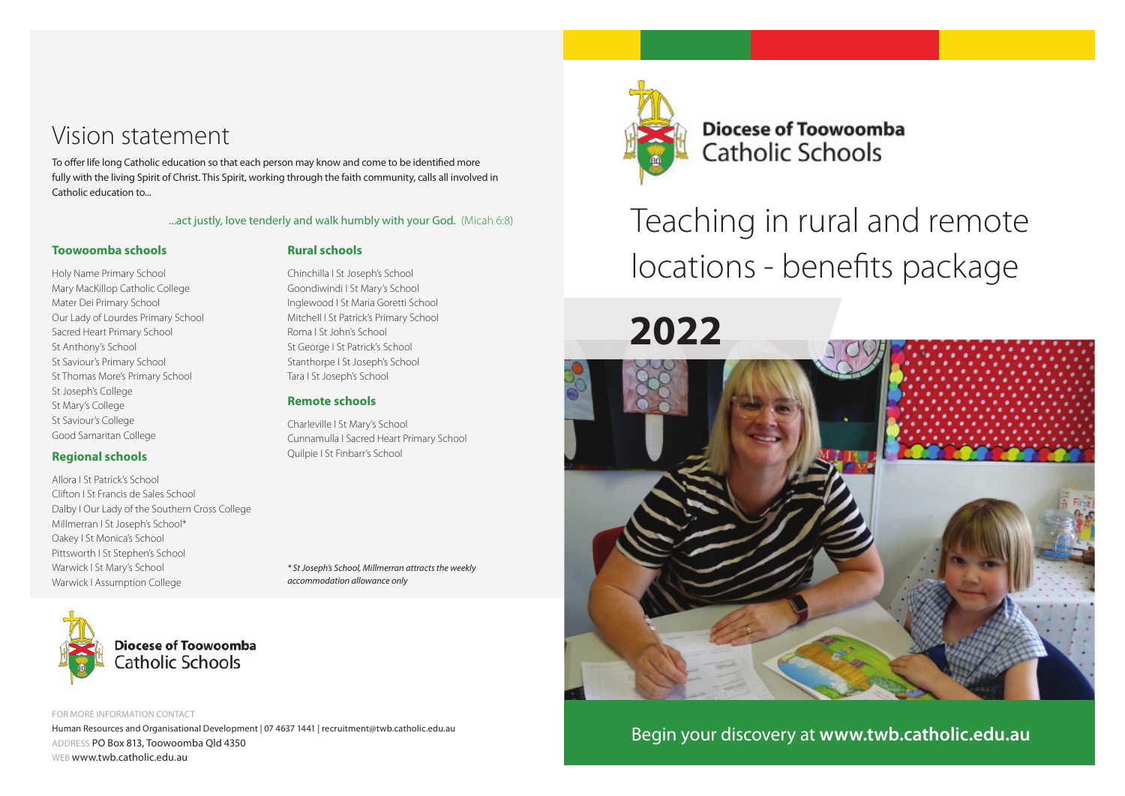# Vision statement

To offer life long Catholic education so that each person may know and come to be identified more fully with the living Spirit of Christ. This Spirit, working through the faith community, calls all involved in Catholic education to...

#### ...act justly, love tenderly and walk humbly with your God. (Micah 6:8)

Chinchilla I St Joseph's School Goondiwindi I St Mary's School Inglewood I St Maria Goretti School Mitchell I St Patrick's Primary School

#### **Toowoomba schools**

#### **Rural schools**

Roma I St John's School St George I St Patrick's School Stanthorpe I St Joseph's School Tara I St Joseph's School **Remote schools**

Charleville I St Mary's School

Quilpie I St Finbarr's School

*accommodation allowance only*

Cunnamulla I Sacred Heart Primary School

*\* St Joseph's School, Millmerran attracts the weekly* 

Holy Name Primary School Mary MacKillop Catholic College Mater Dei Primary School Our Lady of Lourdes Primary School Sacred Heart Primary School St Anthony's School St Saviour's Primary School St Thomas More's Primary School St Joseph's College St Mary's College St Saviour's College Good Samaritan College

#### **Regional schools**

Allora I St Patrick's School Clifton I St Francis de Sales School Dalby I Our Lady of the Southern Cross College Millmerran I St Joseph's School\* Oakey I St Monica's School Pittsworth I St Stephen's School Warwick I St Mary's School Warwick I Assumption College



FOR MORE INFORMATION CONTACT Human Resources and Organisational Development | 07 4637 1441 | recruitment@twb.catholic.edu.au ADDRESS PO Box 813, Toowoomba Qld 4350 WEB www.twb.catholic.edu.au



**Diocese of Toowoomba Catholic Schools** 

Teaching in rural and remote locations - benefits package



Begin your discovery at **www.twb.catholic.edu.au**